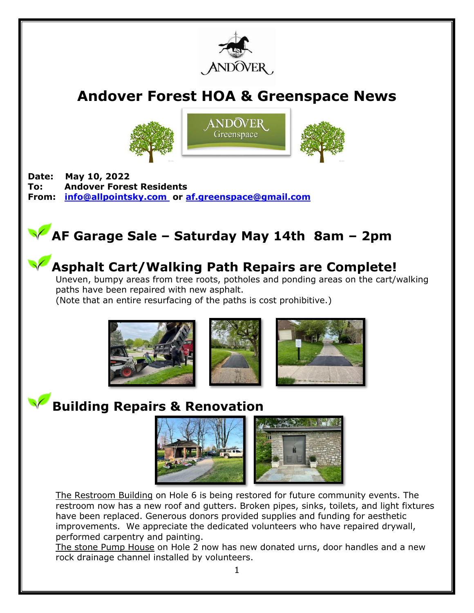

# **Andover Forest HOA & Greenspace News**







**Date: May 10, 2022 To: Andover Forest Residents From: [info@allpointsky.com](mailto:info@allpointsky.com) or [af.greenspace@gmail.com](mailto:af.greenspace@gmail.com)**

# **AF Garage Sale – Saturday May 14th 8am – 2pm**



#### **Asphalt Cart/Walking Path Repairs are Complete!**

Uneven, bumpy areas from tree roots, potholes and ponding areas on the cart/walking paths have been repaired with new asphalt.

(Note that an entire resurfacing of the paths is cost prohibitive.)



#### **Building Repairs & Renovation**



The Restroom Building on Hole 6 is being restored for future community events. The restroom now has a new roof and gutters. Broken pipes, sinks, toilets, and light fixtures have been replaced. Generous donors provided supplies and funding for aesthetic improvements. We appreciate the dedicated volunteers who have repaired drywall, performed carpentry and painting.

The stone Pump House on Hole 2 now has new donated urns, door handles and a new rock drainage channel installed by volunteers.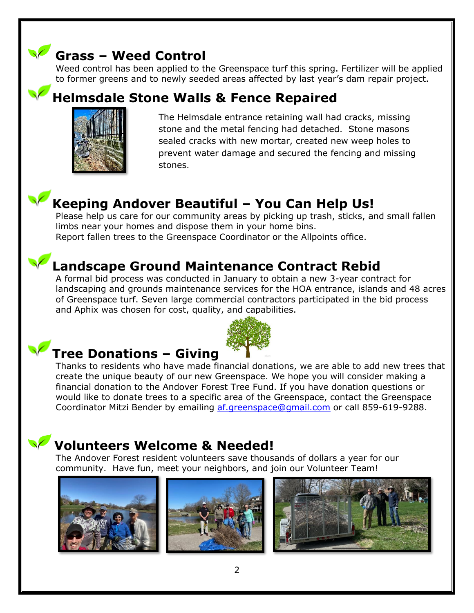### **Grass – Weed Control**

Weed control has been applied to the Greenspace turf this spring. Fertilizer will be applied to former greens and to newly seeded areas affected by last year's dam repair project.

#### **Helmsdale Stone Walls & Fence Repaired**



The Helmsdale entrance retaining wall had cracks, missing stone and the metal fencing had detached. Stone masons sealed cracks with new mortar, created new weep holes to prevent water damage and secured the fencing and missing stones.

### **Keeping Andover Beautiful – You Can Help Us!**

Please help us care for our community areas by picking up trash, sticks, and small fallen limbs near your homes and dispose them in your home bins. Report fallen trees to the Greenspace Coordinator or the Allpoints office.

# **Landscape Ground Maintenance Contract Rebid**

A formal bid process was conducted in January to obtain a new 3-year contract for landscaping and grounds maintenance services for the HOA entrance, islands and 48 acres of Greenspace turf. Seven large commercial contractors participated in the bid process and Aphix was chosen for cost, quality, and capabilities.



# **Tree Donations – Giving**

Thanks to residents who have made financial donations, we are able to add new trees that create the unique beauty of our new Greenspace. We hope you will consider making a financial donation to the Andover Forest Tree Fund. If you have donation questions or would like to donate trees to a specific area of the Greenspace, contact the Greenspace Coordinator Mitzi Bender by emailing [af.greenspace@gmail.com](mailto:af.greenspace@gmail.com) or call 859-619-9288.

## **Volunteers Welcome & Needed!**

The Andover Forest resident volunteers save thousands of dollars a year for our community. Have fun, meet your neighbors, and join our Volunteer Team!